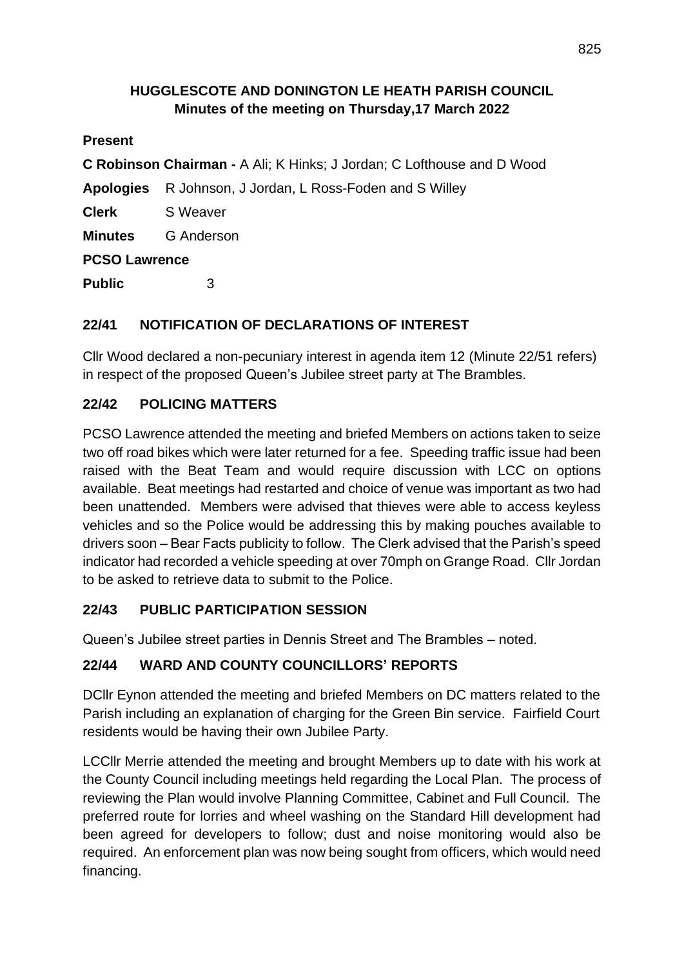#### **HUGGLESCOTE AND DONINGTON LE HEATH PARISH COUNCIL Minutes of the meeting on Thursday,17 March 2022**

#### **Present**

**C Robinson Chairman -** A Ali; K Hinks; J Jordan; C Lofthouse and D Wood

**Apologies** R Johnson, J Jordan, L Ross-Foden and S Willey

**Clerk** S Weaver

**Minutes** G Anderson

#### **PCSO Lawrence**

**Public** 3

# **22/41 NOTIFICATION OF DECLARATIONS OF INTEREST**

Cllr Wood declared a non-pecuniary interest in agenda item 12 (Minute 22/51 refers) in respect of the proposed Queen's Jubilee street party at The Brambles.

# **22/42 POLICING MATTERS**

PCSO Lawrence attended the meeting and briefed Members on actions taken to seize two off road bikes which were later returned for a fee. Speeding traffic issue had been raised with the Beat Team and would require discussion with LCC on options available. Beat meetings had restarted and choice of venue was important as two had been unattended. Members were advised that thieves were able to access keyless vehicles and so the Police would be addressing this by making pouches available to drivers soon – Bear Facts publicity to follow. The Clerk advised that the Parish's speed indicator had recorded a vehicle speeding at over 70mph on Grange Road. Cllr Jordan to be asked to retrieve data to submit to the Police.

### **22/43 PUBLIC PARTICIPATION SESSION**

Queen's Jubilee street parties in Dennis Street and The Brambles – noted.

### **22/44 WARD AND COUNTY COUNCILLORS' REPORTS**

DCllr Eynon attended the meeting and briefed Members on DC matters related to the Parish including an explanation of charging for the Green Bin service. Fairfield Court residents would be having their own Jubilee Party.

LCCllr Merrie attended the meeting and brought Members up to date with his work at the County Council including meetings held regarding the Local Plan. The process of reviewing the Plan would involve Planning Committee, Cabinet and Full Council. The preferred route for lorries and wheel washing on the Standard Hill development had been agreed for developers to follow; dust and noise monitoring would also be required. An enforcement plan was now being sought from officers, which would need financing.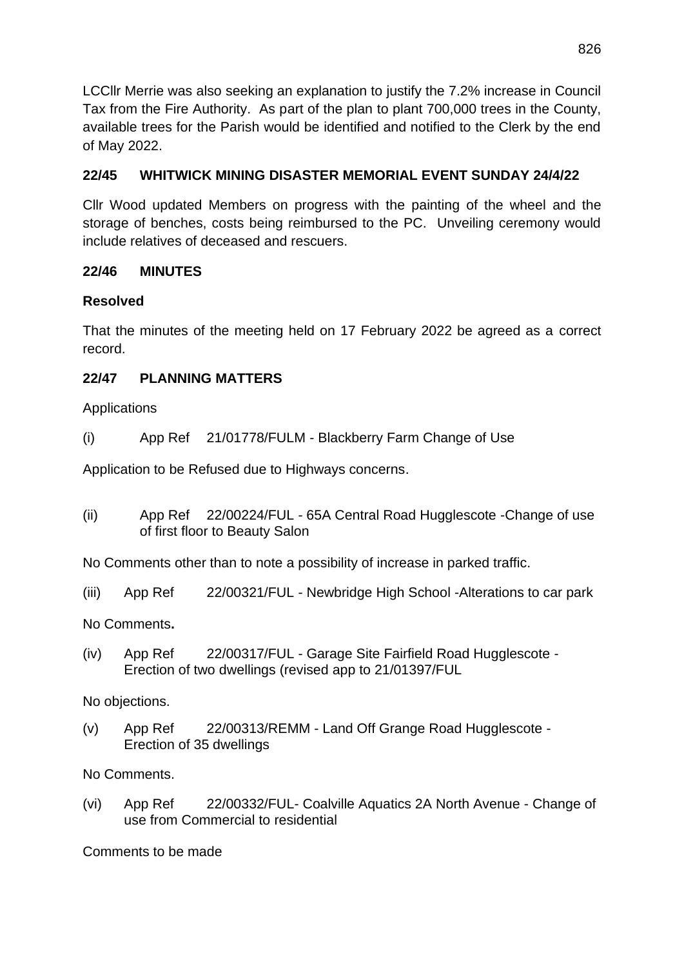LCCllr Merrie was also seeking an explanation to justify the 7.2% increase in Council Tax from the Fire Authority. As part of the plan to plant 700,000 trees in the County, available trees for the Parish would be identified and notified to the Clerk by the end of May 2022.

# **22/45 WHITWICK MINING DISASTER MEMORIAL EVENT SUNDAY 24/4/22**

Cllr Wood updated Members on progress with the painting of the wheel and the storage of benches, costs being reimbursed to the PC. Unveiling ceremony would include relatives of deceased and rescuers.

### **22/46 MINUTES**

#### **Resolved**

That the minutes of the meeting held on 17 February 2022 be agreed as a correct record.

### **22/47 PLANNING MATTERS**

Applications

(i) App Ref 21/01778/FULM - Blackberry Farm Change of Use

Application to be Refused due to Highways concerns.

(ii) App Ref 22/00224/FUL - 65A Central Road Hugglescote -Change of use of first floor to Beauty Salon

No Comments other than to note a possibility of increase in parked traffic.

(iii) App Ref 22/00321/FUL - Newbridge High School -Alterations to car park

No Comments**.**

(iv) App Ref 22/00317/FUL - Garage Site Fairfield Road Hugglescote - Erection of two dwellings (revised app to 21/01397/FUL

No objections.

(v) App Ref 22/00313/REMM - Land Off Grange Road Hugglescote - Erection of 35 dwellings

No Comments.

(vi) App Ref 22/00332/FUL- Coalville Aquatics 2A North Avenue - Change of use from Commercial to residential

Comments to be made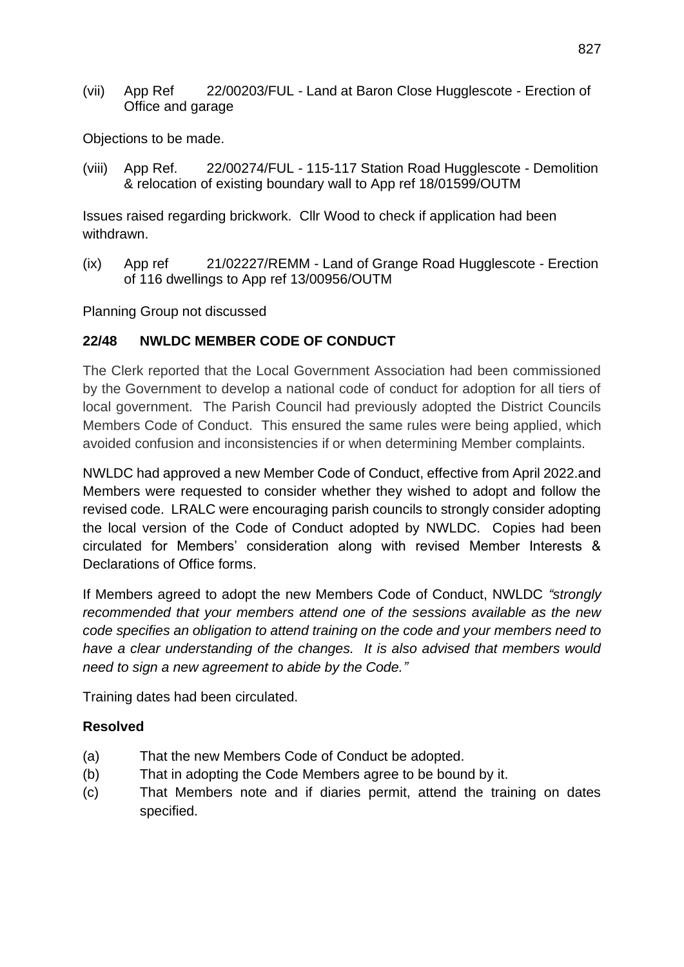(vii) App Ref 22/00203/FUL - Land at Baron Close Hugglescote - Erection of Office and garage

Objections to be made.

(viii) App Ref. 22/00274/FUL - 115-117 Station Road Hugglescote - Demolition & relocation of existing boundary wall to App ref 18/01599/OUTM

Issues raised regarding brickwork. Cllr Wood to check if application had been withdrawn.

(ix) App ref 21/02227/REMM - Land of Grange Road Hugglescote - Erection of 116 dwellings to App ref 13/00956/OUTM

Planning Group not discussed

#### **22/48 NWLDC MEMBER CODE OF CONDUCT**

The Clerk reported that the Local Government Association had been commissioned by the Government to develop a national code of conduct for adoption for all tiers of local government. The Parish Council had previously adopted the District Councils Members Code of Conduct. This ensured the same rules were being applied, which avoided confusion and inconsistencies if or when determining Member complaints.

NWLDC had approved a new Member Code of Conduct, effective from April 2022.and Members were requested to consider whether they wished to adopt and follow the revised code. LRALC were encouraging parish councils to strongly consider adopting the local version of the Code of Conduct adopted by NWLDC. Copies had been circulated for Members' consideration along with revised Member Interests & Declarations of Office forms.

If Members agreed to adopt the new Members Code of Conduct, NWLDC *"strongly recommended that your members attend one of the sessions available as the new code specifies an obligation to attend training on the code and your members need to have a clear understanding of the changes. It is also advised that members would need to sign a new agreement to abide by the Code."*

Training dates had been circulated.

#### **Resolved**

- (a) That the new Members Code of Conduct be adopted.
- (b) That in adopting the Code Members agree to be bound by it.
- (c) That Members note and if diaries permit, attend the training on dates specified.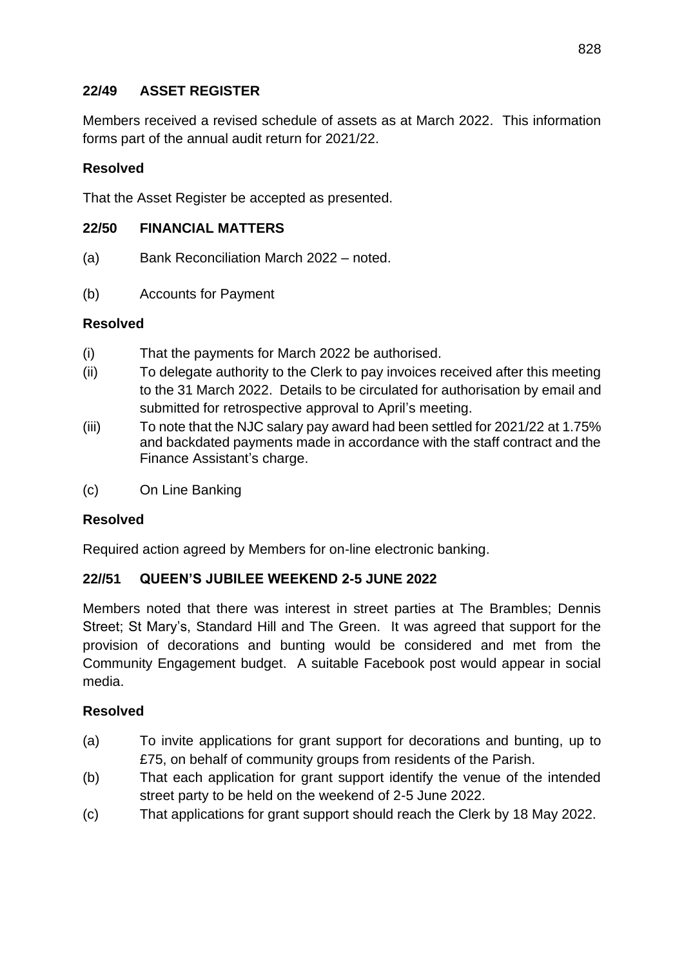#### **22/49 ASSET REGISTER**

Members received a revised schedule of assets as at March 2022. This information forms part of the annual audit return for 2021/22.

#### **Resolved**

That the Asset Register be accepted as presented.

#### **22/50 FINANCIAL MATTERS**

- (a) Bank Reconciliation March 2022 noted.
- (b) Accounts for Payment

#### **Resolved**

- (i) That the payments for March 2022 be authorised.
- (ii) To delegate authority to the Clerk to pay invoices received after this meeting to the 31 March 2022. Details to be circulated for authorisation by email and submitted for retrospective approval to April's meeting.
- (iii) To note that the NJC salary pay award had been settled for 2021/22 at 1.75% and backdated payments made in accordance with the staff contract and the Finance Assistant's charge.
- (c) On Line Banking

### **Resolved**

Required action agreed by Members for on-line electronic banking.

### **22//51 QUEEN'S JUBILEE WEEKEND 2-5 JUNE 2022**

Members noted that there was interest in street parties at The Brambles; Dennis Street; St Mary's, Standard Hill and The Green. It was agreed that support for the provision of decorations and bunting would be considered and met from the Community Engagement budget. A suitable Facebook post would appear in social media.

### **Resolved**

- (a) To invite applications for grant support for decorations and bunting, up to £75, on behalf of community groups from residents of the Parish.
- (b) That each application for grant support identify the venue of the intended street party to be held on the weekend of 2-5 June 2022.
- (c) That applications for grant support should reach the Clerk by 18 May 2022.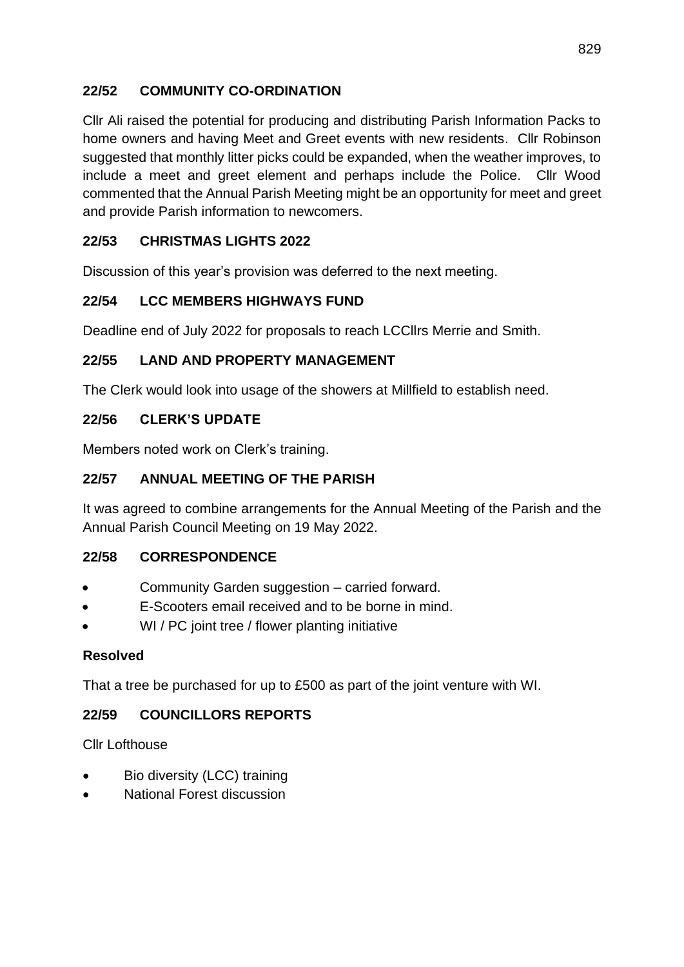# **22/52 COMMUNITY CO-ORDINATION**

Cllr Ali raised the potential for producing and distributing Parish Information Packs to home owners and having Meet and Greet events with new residents. Cllr Robinson suggested that monthly litter picks could be expanded, when the weather improves, to include a meet and greet element and perhaps include the Police. Cllr Wood commented that the Annual Parish Meeting might be an opportunity for meet and greet and provide Parish information to newcomers.

# **22/53 CHRISTMAS LIGHTS 2022**

Discussion of this year's provision was deferred to the next meeting.

# **22/54 LCC MEMBERS HIGHWAYS FUND**

Deadline end of July 2022 for proposals to reach LCCllrs Merrie and Smith.

### **22/55 LAND AND PROPERTY MANAGEMENT**

The Clerk would look into usage of the showers at Millfield to establish need.

#### **22/56 CLERK'S UPDATE**

Members noted work on Clerk's training.

### **22/57 ANNUAL MEETING OF THE PARISH**

It was agreed to combine arrangements for the Annual Meeting of the Parish and the Annual Parish Council Meeting on 19 May 2022.

### **22/58 CORRESPONDENCE**

- Community Garden suggestion carried forward.
- E-Scooters email received and to be borne in mind.
- WI / PC joint tree / flower planting initiative

### **Resolved**

That a tree be purchased for up to £500 as part of the joint venture with WI.

### **22/59 COUNCILLORS REPORTS**

Cllr Lofthouse

- Bio diversity (LCC) training
- National Forest discussion